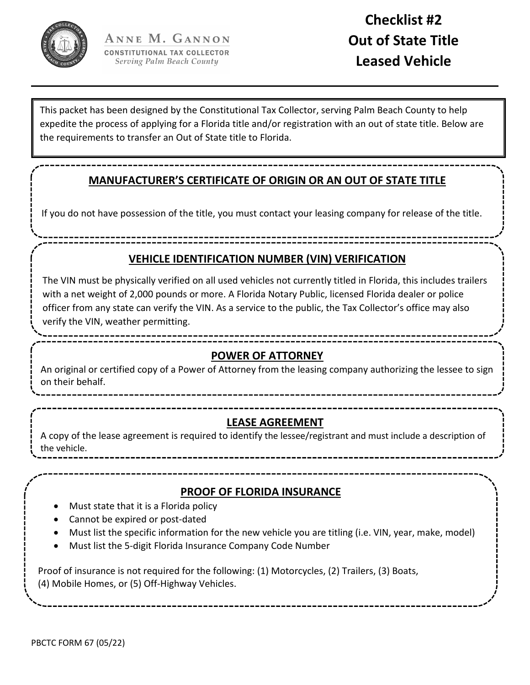

This packet has been designed by the Constitutional Tax Collector, serving Palm Beach County to help expedite the process of applying for a Florida title and/or registration with an out of state title. Below are the requirements to transfer an Out of State title to Florida.

## **MANUFACTURER'S CERTIFICATE OF ORIGIN OR AN OUT OF STATE TITLE**

If you do not have possession of the title, you must contact your leasing company for release of the title.

**VEHICLE IDENTIFICATION NUMBER (VIN) VERIFICATION**

The VIN must be physically verified on all used vehicles not currently titled in Florida, this includes trailers with a net weight of 2,000 pounds or more. A Florida Notary Public, licensed Florida dealer or police officer from any state can verify the VIN. As a service to the public, the Tax Collector's office may also verify the VIN, weather permitting.

## **POWER OF ATTORNEY**

An original or certified copy of a Power of Attorney from the leasing company authorizing the lessee to sign on their behalf.

## **LEASE AGREEMENT**

A copy of the lease agreement is required to identify the lessee/registrant and must include a description of the vehicle.

## **PROOF OF FLORIDA INSURANCE**

- Must state that it is a Florida policy
- Cannot be expired or post‐dated
- Must list the specific information for the new vehicle you are titling (i.e. VIN, year, make, model)
- Must list the 5‐digit Florida Insurance Company Code Number

Proof of insurance is not required for the following: (1) Motorcycles, (2) Trailers, (3) Boats, (4) Mobile Homes, or (5) Off‐Highway Vehicles.